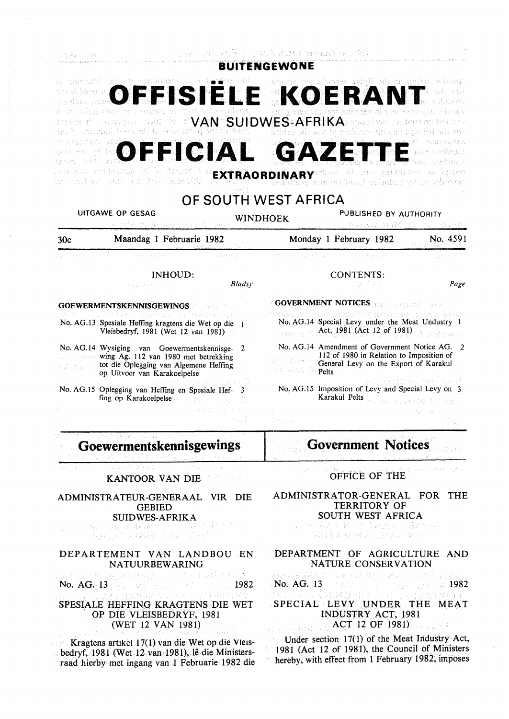#### **BUITENGEWONE**

| 今進主 (22) 主治資源経済資金 マンクレーキ<br>Principale B<br>ort at bestellt<br>FFISIELI                                                                                                                        |                                                                                             |             | KOEI                                                                                                                                                                                                                                                                                                                  | tpovan mišing in die Bylac vermeid ten angest                                                                                     |                        |  |
|------------------------------------------------------------------------------------------------------------------------------------------------------------------------------------------------|---------------------------------------------------------------------------------------------|-------------|-----------------------------------------------------------------------------------------------------------------------------------------------------------------------------------------------------------------------------------------------------------------------------------------------------------------------|-----------------------------------------------------------------------------------------------------------------------------------|------------------------|--|
|                                                                                                                                                                                                | day pobosseus d'Estuan<br>institu<br>nt be campbel issue at be existenced for straw         |             | van die altyswee wat in verbynn met die verrigt<br>ensity of sciences since be $\mathcal{A} \mathsf{W}$ supported to the $\mathsf{S}\mathsf{U}$ of $\mathsf{B}\mathsf{S}\mathsf{L}$ and $\mathsf{A}\mathsf{F}\mathsf{R}\mathsf{L}\mathsf{K}$ denotes the contract<br>vun die batunge vus die vieselwischen die gebied |                                                                                                                                   |                        |  |
| andiconté nao                                                                                                                                                                                  | OFFICIAL<br>worddo at the apticolare adorest a<br>sillans with die take and the significant |             |                                                                                                                                                                                                                                                                                                                       | <b>GAZETTE</b><br>EXTRAORDINARY of the case and harvest an increase<br>severder et by bedoelde Londhou-mail <mark>dallac</mark> h | Amos shakeshas         |  |
|                                                                                                                                                                                                |                                                                                             |             | OF SOUTH WEST AFRICA                                                                                                                                                                                                                                                                                                  |                                                                                                                                   |                        |  |
| <b>UITGAWE OP GESAG</b><br>ベンおとか得合 盆川 おいはおい ( SEC W) 3mBW                                                                                                                                      |                                                                                             |             | WINDHOEK                                                                                                                                                                                                                                                                                                              | PUBLISHED BY AUTHORITY<br>GUESTIN STRING OF THE CASE OF L                                                                         |                        |  |
| 30c                                                                                                                                                                                            | Maandag 1 Februarie 1982                                                                    |             |                                                                                                                                                                                                                                                                                                                       | Monday 1 February 1982                                                                                                            | No. 4591               |  |
| tan si Sofo                                                                                                                                                                                    | asan satu di K                                                                              |             | そという 日本にはある しんたい                                                                                                                                                                                                                                                                                                      | San Karl W                                                                                                                        |                        |  |
|                                                                                                                                                                                                | <b>INHOUD:</b><br>B.2017 138 120                                                            | Bladsy      |                                                                                                                                                                                                                                                                                                                       | <b>CONTENTS:</b><br>비도 고객                                                                                                         | Page                   |  |
| GOEWERMENTSKENNISGEWINGS AND THE RESERVE OF THE RESERVE OF THE RESERVE OF THE RESERVE OF THE RESERVE OF THE RE                                                                                 |                                                                                             |             | <b>GOVERNMENT NOTICES AND MEDICAL REF</b>                                                                                                                                                                                                                                                                             |                                                                                                                                   |                        |  |
| versien zuender aftekten og va<br>No. AG.13 Spesiale Heffing kragtens die Wet op die 1<br>Vleisbedryf, 1981 (Wet 12 van 1981)                                                                  |                                                                                             |             | wa manazi wa kata wa matu wa matu wa ma<br>No. AG.14 Special Levy under the Meat Undustry 1<br>Strater S Act, 1981 (Act 12 of 1981)                                                                                                                                                                                   |                                                                                                                                   |                        |  |
| No. AG.14 Wysiging van Goewermentskennisge-<br>2<br><b>Expansion wing Ag. 112 van 1980 met betrekking</b><br>tot die Oplegging van Algemene Heffing<br>外部の呼吸とし<br>op Uitvoer van Karakoelpelse |                                                                                             |             | No. AG.14 Amendment of Government Notice AG. 2<br>112 of 1980 in Relation to Imposition of<br>General Levy on the Export of Karakul<br><b>TOWNSHE IN Pelts</b><br>ma vedsche ant ekult<br>No. AG.15 Imposition of Levy and Special Levy on 3<br>Karakul Pelts<br>Paramers 28,200 Pull 29B As                          |                                                                                                                                   |                        |  |
| 高齢な<br>Aprilko gudenan AllaN<br>No. AG.15 Oplegging van Heffing en Spesiale Hef- 3<br>fing op Karakoelpelse                                                                                    |                                                                                             |             |                                                                                                                                                                                                                                                                                                                       |                                                                                                                                   |                        |  |
|                                                                                                                                                                                                |                                                                                             | 数据发生的 经一种平均 | 平和 後に                                                                                                                                                                                                                                                                                                                 |                                                                                                                                   | SERRAYI SHI<br>보고 함. 기 |  |
|                                                                                                                                                                                                | Goewermentskennisgewings<br>英子 みんなか しょこせん こうけんしこう                                           |             |                                                                                                                                                                                                                                                                                                                       | <b>Government Notices</b>                                                                                                         |                        |  |
|                                                                                                                                                                                                |                                                                                             |             |                                                                                                                                                                                                                                                                                                                       |                                                                                                                                   |                        |  |

KANTOOR VAN DIE

ADMINISTRATEUR-GENERAAL VIR DIE GEBIED

SUIDWES-AFRIKA<br>GEAREN LIGORIOA DA PESTATELOTE<br>RARDA ARRAKOD BADOAY

#### DEPARTEMENT VAN LANDBOU EN NATUURBEW ARING

特别地说的某物 经一项汇率 可以得到的 无尾燕 No. AG. 13 **1982** 

#### SPESIALE HEFFING KRAGTENS DIE WET OP DIE VLEISBEDRYF, 1981 (WET 12 VAN 1981)

Kragtens artikel 17(1) van die Wet op die Vleisbedryf, 1981 (Wet 12 van 1981), lê die Ministersraad hierby met ingang van 1 Februarie 1982 die 李欢华 1 OFFICE OF THE

#### ADMINISTRATOR-GENERAL FOR THE TERRITORY OF SOUTH WEST AFRICA

医异核菌素 轻声片 电压进程计算术程序  $\label{eq:3.1} \text{Tr}(\mathcal{A} \mid \mathcal{A} \mid \mathcal{N} \mid \mathcal{M}) = \{ \mathcal{D} \mid \mathcal{A} \mid \mathcal{N} \mid \mathcal{M} \}$ 

#### DEPARTMENT OF AGRICULTURE AND NATURE CONSERVATION

|        |  |  | 经经济营养的 化水平分子 化环形 医水平性肌肉 医心包                                  |  |
|--------|--|--|--------------------------------------------------------------|--|
|        |  |  | <b>No. AG. 13</b> Alanta to the USA Contract <b>1982</b>     |  |
| オーム・トー |  |  | しんじょう アルトラブ むけんき 不成し ひょうよう しゅうよう セーブト・コント こうしん やまなす 性のない かいじ |  |

## SPECIAL LEVY UNDER THE MEAT INDUSTRY ACT, 1981 . **ACT 12 OF 1981)**

Under section 17(1) of the Meat Industry Act, 1981 (Act 12 of 1981), the Council of Ministers ÷. hereby, with effect from 1 February 1982; imposes  $\mathcal{V}_\pm^2$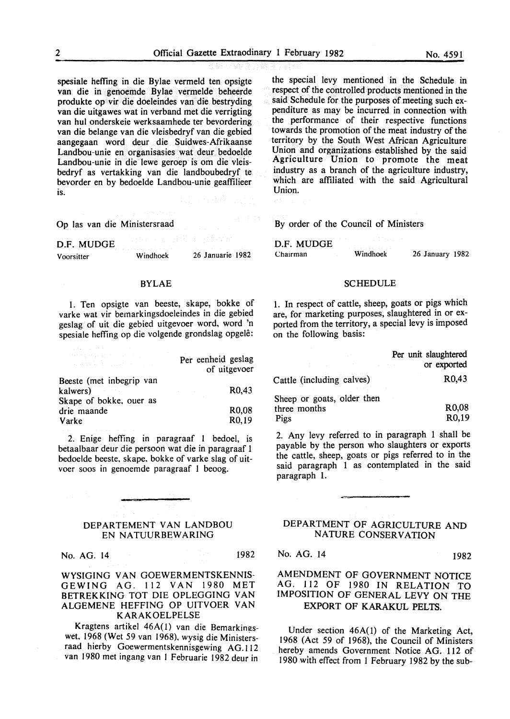spesiale heffing in die Bylae vermeld ten opsigte van die in genoemde Bylae vermelde beheerde produkte op vir die doeleindes van die bestryding van die uitgawes wat in verband met die verrigting van hut onderskeie werksaamhede ter bevordering van die belange van die vleisbedryf van die gebied aangegaan word deur die Suidwes-Afrikaanse Landbou-unie en organisasies wat deur bedoelde Landbou-unie in die lewe geroep is om die vleisbedryf as vertakking van die landboubedryf te bevorder en by bedoelde Landbou-unie geaffilieer is.

Op las van die Ministersraad

| Voorsitter | Windhoek                                                                                                                                          | 26 Januarie 1982 |  |
|------------|---------------------------------------------------------------------------------------------------------------------------------------------------|------------------|--|
| D.F. MUDGE | ABS - Sand Robert (Statistic<br>. The same of the second complete service in the same of the same of the same of the same of the same of the same |                  |  |

#### BYLAE

l. Ten opsigte van beeste, skape, bokke of varke wat vir bemarkingsdoeleindes in die gebied geslag of uit die gebied uitgevoer word, word 'n spesiale heffing op die volgende grondslag opgele:

| 计数据 网络大陆 医无脑膜炎 医无心血管 医心包的<br>그는 사람들은 사람들이 모두 아주 보였다.       | Per eenheid geslag<br>of uitgevoer       |
|------------------------------------------------------------|------------------------------------------|
| Beeste (met inbegrip van<br>kalwers)<br>and the control of | R <sub>0</sub> .43                       |
| Skape of bokke, ouer as<br>drie maande<br>Varke            | R <sub>0</sub> ,08<br>R <sub>0</sub> ,19 |

2. Enige hefling in paragraaf 1 bedoel, is betaalbaar deur die persoon wat die in paragraaf 1 bedoelde beeste, skape, bokke of varke slag of uitvoer soos in genoemde paragraaf 1 beoog.

#### DEPARTEMENT VAN LANDBOU EN NATUURBEWARING

No. AG. 14 1982

WYSIGING VAN GOEWERMENTSKENNIS-GEWING AG. 112 VAN 1980 MET BETREKKING TOT DIE OPLEGGING VAN ALGEMENE HEFFING OP UITVOER VAN KARAKOELPELSE

Kragtens artikel 46A(1) van die Bemarkingswet, 1968 (Wet 59 van 1968}, wysig die Ministersraad hierby Goewermentskennisgewing AG.l12 van 1980 met ingang van 1 Februarie 1982 deur in

the special levy mentioned in the Schedule in respect of the controlled products mentioned in the said Schedule for the purposes of meeting such expenditure as may be incurred in connection with the performance of their respective functions towards the promotion of the meat industry of the territory by the South West African Agriculture Union and organizations established by the said Agriculture Union to promote the meat industry as a branch of the agriculture industry, which are affiliated with the said Agricultural Union.

By order of the Council of Ministers

| D.F. MUDGE | the state of the state of the state of the state of the state of the state of the state of |                 |
|------------|--------------------------------------------------------------------------------------------|-----------------|
| Chairman   | Windhoek                                                                                   | 26 January 1982 |

#### SCHEDULE

1. In respect of cattle, sheep, goats or pigs which are, for marketing purposes, slaughtered in or exported from the territory, a special levy is imposed on the following basis:

|                            | Per unit slaughtered<br>or exported |
|----------------------------|-------------------------------------|
| Cattle (including calves)  | R0,43                               |
| Sheep or goats, older then |                                     |
| three months               | R <sub>0</sub> ,08                  |
| Pigs                       | R0.19                               |

2. Any levy referred to in paragraph 1 shall be payable by the person who slaughters or exports the cattle, sheep, goats or pigs referred to in the said paragraph 1 as contemplated in the said paragraph 1.

#### DEPARTMENT OF AGRICULTURE AND NATURE CONSERVATION

No. AG. 14 1982

### AMENDMENT OF GOVERNMENT NOTICE AG. 112 OF 1980 IN RELATION TO IMPOSITION OF GENERAL LEVY ON THE EXPORT OF KARAKUL PELTS.

Under section 46A(l) of the Marketing Act, 1968 (Act 59 of 1968), the Council of Ministers hereby amends Government Notice AG. 112 of 1980 with effect from 1 February 1982 by the sub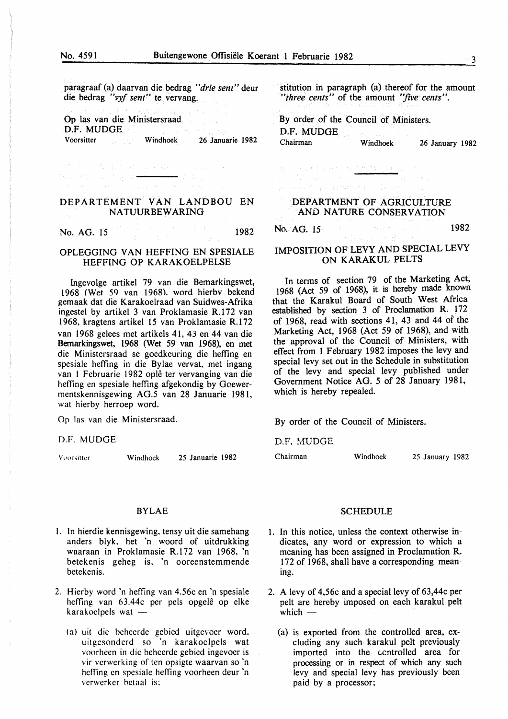paragraaf (a) daarvan die bedrag *"drie sent"* deur die bedrag *"vyf sent"* te vervang.

Op las van die Ministersraad D.F. MUDGE

 $\mathcal{O}^{n-1}_{\mathcal{O}_{\mathcal{O}_{\mathcal{O}_{\mathcal{O}_{\mathcal{O}_{\mathcal{O}_{\mathcal{O}_{\mathcal{O}_{\mathcal{O}_{\mathcal{O}_{\mathcal{O}_{\mathcal{O}_{\mathcal{O}_{\mathcal{O}_{\mathcal{O}_{\mathcal{O}}}}}}}}}}\mathcal{O}_{\mathcal{O}_{\mathcal{O}_{\mathcal{O}}}}}}\left(\mathcal{O}_{\mathcal{O}_{\mathcal{O}_{\mathcal{O}}}}\right)}\left(\mathcal{O}_{\mathcal{O}_{\mathcal{O}_{\mathcal{O}}}}\right)\left(\mathcal{O}_{\mathcal{O}_{\mathcal{O}_{\mathcal{$ 

Voorsitter Windhoek 26 Januarie 1982

 $\rightarrow$  2010  $\pm$ in a that was first p<del>lantac</del> DEPARTEMENT VAN LANDBOU EN

# NATUURBEW ARING

No. AG. 15 1982

#### OPLEGGING VAN HEFFING EN SPESIALE HEFFING OP KARAKOELPELSE

Ingevolge artikel 79 van die Bemarkingswet, 1968 (Wet 59 van 1968). word hierbv bekend gemaak dat die Karakoelraad van Suidwes-Afrika ingestel by artikel 3 van Proklamasie R.172 van 1968, kragtens artikel 15 van Proklamasie R.172 van 1968 gelees met artikels 41, 43 en 44 van die Bemarkingswet, 1968 (Wet 59 van 1968), en met die Ministersraad se goedkeuring die hefting en spesiale hefting in die Bylae vervat, met ingang van I Februarie 1982 ople ter vervanging van die heffing en spesiale heffing afgekondig by Goewermentskennisgewing AG.5 van 28 Januarie 1981, wat hierby herroep word.

Op las van die Ministersraad.

#### D.F. MUDGE

Voorsitter Windhoek 25 Januarie 1982

#### BYLAE

- l. In hierdie kennisgewing, tensy uit die samehang anders blyk, het 'n woord of uitdrukking waaraan in Proklamasie R.l72 van 1968, 'n betekenis geheg is. 'n ooreenstemmende betekenis.
- 2. Hierby word 'n heffing van 4.56c en 'n spesiale heffing van 63.44c per pels opgelê op elke  $karakoelpels wat -$ 
	- (a) uit die behcerde gebied uitgevoer word, uitgcsonderd so 'n karakoelpels wat voorheen in die beheerde gebied ingevoer is vir verwerking of ten opsigte waarvan so 'n heffing en spesiale heffing voorheen deur 'n verwerker betaal is:

stitution in paragraph (a) thereof for the amount *"three cents"* of the amount *"five cents".* 

By order of the Council of Ministers. D.F. MUDGE Windhoek 26 January 1982

DEPARTMENT OF AGRICULTURE

 $\mathcal{D}_\Sigma \left( \mathbf{x} \right) = \left\{ \mathbf{1} \in \mathbb{R} \big| \mathcal{D} \left( \mathbf{x} \right) \neq \mathbf{x} \right\} = \mathbf{1} \in \left\{ \mathbf{1} \big| \mathcal{D} \left( \mathbf{x} \right) \right\} = \mathbf{1} \mathbf{1} \right\}$ 

AND NATURE CONSERVATION

No. AG.  $15$  1982 and the second contract  $1982$ 

#### IMPOSITION OF LEVY AND SPECIAL LEVY ON KARAKUL PELTS

In terms of section 79 of the Marketing Act, 1968 (Act 59 of 1968), it is hereby made known that the Karakul Board of South West Africa established by section 3 of Proclamation R. 172 of 1968, read with sections 41, 43 and 44 of the Marketing Act, 1968 (Act 59 of 1968), and with the approval of the Council of Ministers, with effect from 1 February 1982 imposes the levy and special levy set out in the Schedule in substitution of the levy and special levy published under Government Notice AG. 5 of 28 January 1981, which is hereby repealed.

By order of the Council of Ministers.

D.F. MUDGE

Chairman Windhoek 25 January 1982

**SCHEDULE** 

- 1. In this notice, unless the context otherwise indicates, any word or expression to which a meaning has been assigned in Proclamation R. 172 of 1968, shall have a corresponding meaning.
- 2. A levy of 4,56c and a special levy of 63,44c per pelt are hereby imposed on each karakul pelt which  $-$ 
	- (a) is exported from the controlled area, excluding any such karakul pelt previously imported into the centrolled area for processing or in respect of which any such levy and special levy has previously been paid by a processor;